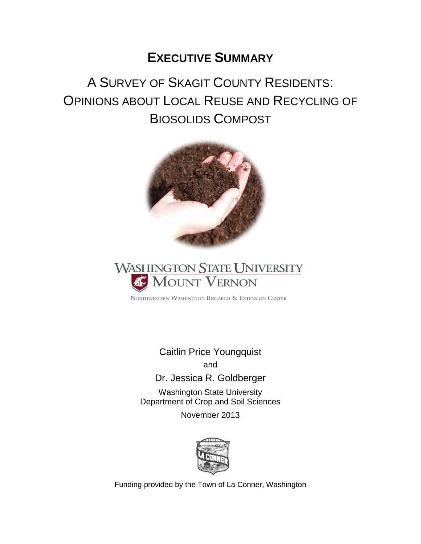# **EXECUTIVE SUMMARY**

# A SURVEY OF SKAGIT COUNTY RESIDENTS: OPINIONS ABOUT LOCAL REUSE AND RECYCLING OF BIOSOLIDS COMPOST





NORTHWESTERN WASHINGTON RESEARCH & EXTENSION CENTER

Caitlin Price Youngquist and

Dr. Jessica R. Goldberger

Washington State University Department of Crop and Soil Sciences

November 2013



Funding provided by the Town of La Conner, Washington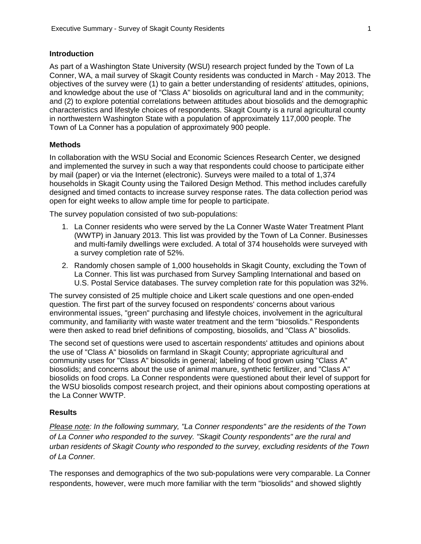#### **Introduction**

As part of a Washington State University (WSU) research project funded by the Town of La Conner, WA, a mail survey of Skagit County residents was conducted in March - May 2013. The objectives of the survey were (1) to gain a better understanding of residents' attitudes, opinions, and knowledge about the use of "Class A" biosolids on agricultural land and in the community; and (2) to explore potential correlations between attitudes about biosolids and the demographic characteristics and lifestyle choices of respondents. Skagit County is a rural agricultural county in northwestern Washington State with a population of approximately 117,000 people. The Town of La Conner has a population of approximately 900 people.

#### **Methods**

In collaboration with the WSU Social and Economic Sciences Research Center, we designed and implemented the survey in such a way that respondents could choose to participate either by mail (paper) or via the Internet (electronic). Surveys were mailed to a total of 1,374 households in Skagit County using the Tailored Design Method. This method includes carefully designed and timed contacts to increase survey response rates. The data collection period was open for eight weeks to allow ample time for people to participate.

The survey population consisted of two sub-populations:

- 1. La Conner residents who were served by the La Conner Waste Water Treatment Plant (WWTP) in January 2013. This list was provided by the Town of La Conner. Businesses and multi-family dwellings were excluded. A total of 374 households were surveyed with a survey completion rate of 52%.
- 2. Randomly chosen sample of 1,000 households in Skagit County, excluding the Town of La Conner. This list was purchased from Survey Sampling International and based on U.S. Postal Service databases. The survey completion rate for this population was 32%.

The survey consisted of 25 multiple choice and Likert scale questions and one open-ended question. The first part of the survey focused on respondents' concerns about various environmental issues, "green" purchasing and lifestyle choices, involvement in the agricultural community, and familiarity with waste water treatment and the term "biosolids." Respondents were then asked to read brief definitions of composting, biosolids, and "Class A" biosolids.

The second set of questions were used to ascertain respondents' attitudes and opinions about the use of "Class A" biosolids on farmland in Skagit County; appropriate agricultural and community uses for "Class A" biosolids in general; labeling of food grown using "Class A" biosolids; and concerns about the use of animal manure, synthetic fertilizer, and "Class A" biosolids on food crops. La Conner respondents were questioned about their level of support for the WSU biosolids compost research project, and their opinions about composting operations at the La Conner WWTP.

#### **Results**

*Please note: In the following summary, "La Conner respondents" are the residents of the Town of La Conner who responded to the survey. "Skagit County respondents" are the rural and urban residents of Skagit County who responded to the survey, excluding residents of the Town of La Conner.*

The responses and demographics of the two sub-populations were very comparable. La Conner respondents, however, were much more familiar with the term "biosolids" and showed slightly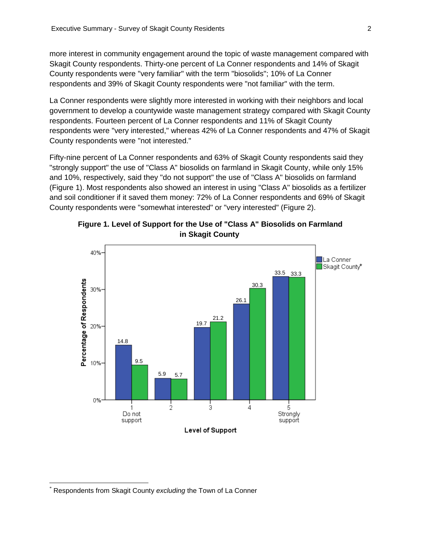more interest in community engagement around the topic of waste management compared with Skagit County respondents. Thirty-one percent of La Conner respondents and 14% of Skagit County respondents were "very familiar" with the term "biosolids"; 10% of La Conner respondents and 39% of Skagit County respondents were "not familiar" with the term.

La Conner respondents were slightly more interested in working with their neighbors and local government to develop a countywide waste management strategy compared with Skagit County respondents. Fourteen percent of La Conner respondents and 11% of Skagit County respondents were "very interested," whereas 42% of La Conner respondents and 47% of Skagit County respondents were "not interested."

Fifty-nine percent of La Conner respondents and 63% of Skagit County respondents said they "strongly support" the use of "Class A" biosolids on farmland in Skagit County, while only 15% and 10%, respectively, said they "do not support" the use of "Class A" biosolids on farmland (Figure 1). Most respondents also showed an interest in using "Class A" biosolids as a fertilizer and soil conditioner if it saved them money: 72% of La Conner respondents and 69% of Skagit County respondents were "somewhat interested" or "very interested" (Figure 2).





 $\overline{\phantom{a}}$ 

<sup>\*</sup> Respondents from Skagit County *excluding* the Town of La Conner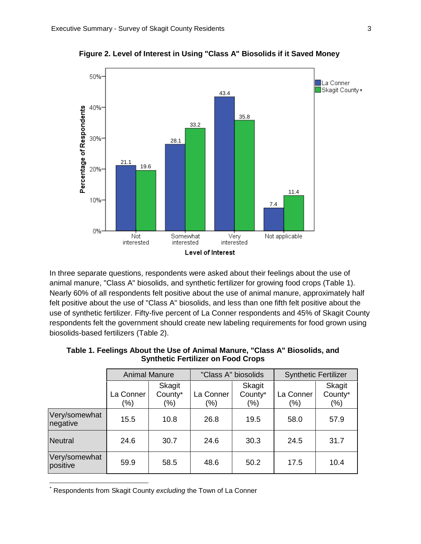

**Figure 2. Level of Interest in Using "Class A" Biosolids if it Saved Money\***

In three separate questions, respondents were asked about their feelings about the use of animal manure, "Class A" biosolids, and synthetic fertilizer for growing food crops (Table 1). Nearly 60% of all respondents felt positive about the use of animal manure, approximately half felt positive about the use of "Class A" biosolids, and less than one fifth felt positive about the use of synthetic fertilizer. Fifty-five percent of La Conner respondents and 45% of Skagit County respondents felt the government should create new labeling requirements for food grown using biosolids-based fertilizers (Table 2).

|                           | <b>Animal Manure</b> |                              | "Class A" biosolids |                          | <b>Synthetic Fertilizer</b> |                              |  |
|---------------------------|----------------------|------------------------------|---------------------|--------------------------|-----------------------------|------------------------------|--|
|                           | La Conner<br>(%)     | Skagit<br>County*<br>$(\% )$ | La Conner<br>(%)    | Skagit<br>County*<br>(%) | La Conner<br>(%)            | Skagit<br>County*<br>$(\% )$ |  |
| Very/somewhat<br>negative | 15.5                 | 10.8                         | 26.8                | 19.5                     | 58.0                        | 57.9                         |  |
| <b>Neutral</b>            | 24.6                 | 30.7                         | 24.6                | 30.3                     | 24.5                        | 31.7                         |  |
| Very/somewhat<br>positive | 59.9                 | 58.5                         | 48.6                | 50.2                     | 17.5                        | 10.4                         |  |

**Table 1. Feelings About the Use of Animal Manure, "Class A" Biosolids, and Synthetic Fertilizer on Food Crops**

\* Respondents from Skagit County *excluding* the Town of La Conner

 $\overline{\phantom{a}}$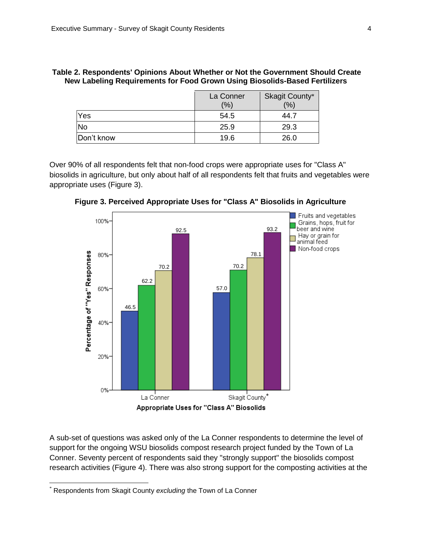|            | La Conner<br>(%) | Skagit County*<br>(9/6) |
|------------|------------------|-------------------------|
| Yes        | 54.5             | 44.7                    |
| <b>No</b>  | 25.9             | 29.3                    |
| Don't know | 19.6             | 26.0                    |

| Table 2. Respondents' Opinions About Whether or Not the Government Should Create |  |  |
|----------------------------------------------------------------------------------|--|--|
| New Labeling Requirements for Food Grown Using Biosolids-Based Fertilizers       |  |  |

Over 90% of all respondents felt that non-food crops were appropriate uses for "Class A" biosolids in agriculture, but only about half of all respondents felt that fruits and vegetables were appropriate uses (Figure 3).



**Figure 3. Perceived Appropriate Uses for "Class A" Biosolids in Agriculture**

A sub-set of questions was asked only of the La Conner respondents to determine the level of support for the ongoing WSU biosolids compost research project funded by the Town of La Conner. Seventy percent of respondents said they "strongly support" the biosolids compost research activities (Figure 4). There was also strong support for the composting activities at the

 $\overline{\phantom{a}}$ 

<sup>\*</sup> Respondents from Skagit County *excluding* the Town of La Conner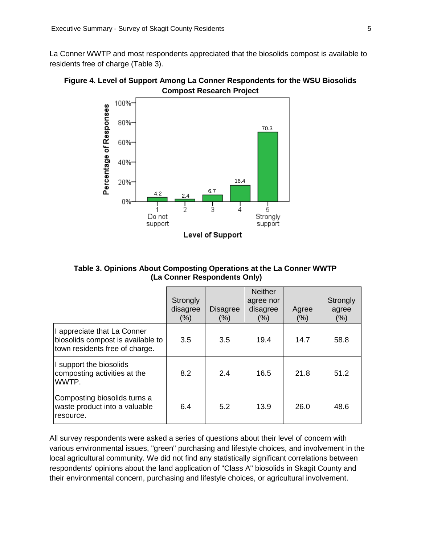La Conner WWTP and most respondents appreciated that the biosolids compost is available to residents free of charge (Table 3).





**Table 3. Opinions About Composting Operations at the La Conner WWTP (La Conner Respondents Only)**

|                                                                                                    | Strongly<br>disagree<br>$(\% )$ | <b>Disagree</b><br>(% ) | <b>Neither</b><br>agree nor<br>disagree<br>(% ) | Agree<br>(% ) | Strongly<br>agree<br>(% ) |
|----------------------------------------------------------------------------------------------------|---------------------------------|-------------------------|-------------------------------------------------|---------------|---------------------------|
| I appreciate that La Conner<br>biosolids compost is available to<br>town residents free of charge. | 3.5                             | 3.5                     | 19.4                                            | 14.7          | 58.8                      |
| I support the biosolids<br>composting activities at the<br>WWTP.                                   | 8.2                             | 2.4                     | 16.5                                            | 21.8          | 51.2                      |
| Composting biosolids turns a<br>waste product into a valuable<br>resource.                         | 6.4                             | 5.2                     | 13.9                                            | 26.0          | 48.6                      |

All survey respondents were asked a series of questions about their level of concern with various environmental issues, "green" purchasing and lifestyle choices, and involvement in the local agricultural community. We did not find any statistically significant correlations between respondents' opinions about the land application of "Class A" biosolids in Skagit County and their environmental concern, purchasing and lifestyle choices, or agricultural involvement.